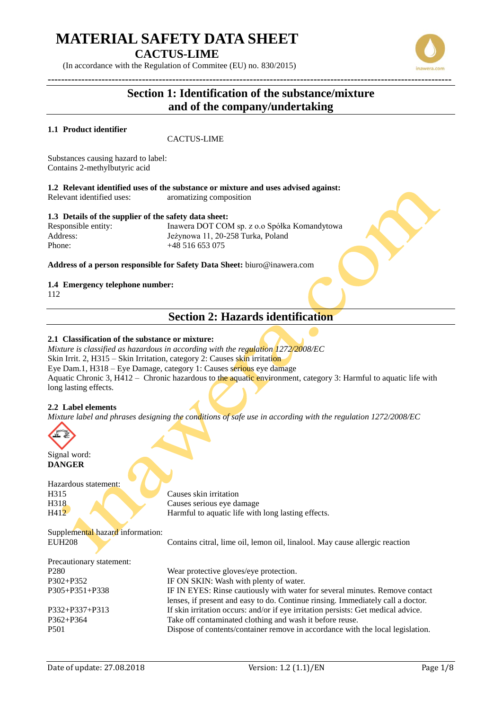# **MATERIAL SAFETY DATA SHEET**

**CACTUS-LIME**

(In accordance with the Regulation of Commitee (EU) no. 830/2015)

## **Section 1: Identification of the substance/mixture and of the company/undertaking**

### **1.1 Product identifier**

CACTUS-LIME

Substances causing hazard to label: Contains 2-methylbutyric acid

**1.2 Relevant identified uses of the substance or mixture and uses advised against:** Relevant identified uses: aromatizing composition

### **1.3 Details of the supplier of the safety data sheet:**

Responsible entity: Inawera DOT COM sp. z o.o Spółka Komandytowa Address: Jeżynowa 11, 20-258 Turka, Poland Phone: +48 516 653 075

**Address of a person responsible for Safety Data Sheet:** biuro@inawera.com

### **1.4 Emergency telephone number:**

112

## **Section 2: Hazards identification**

### **2.1 Classification of the substance or mixture:**

*Mixture is classified as hazardous in according with the regulation 1272/2008/EC* Skin Irrit. 2, H315 – Skin Irritation, category 2: Causes skin irritation Eye Dam.1, H318 – Eye Damage, category 1: Causes serious eye damage Aquatic Chronic 3, H412 – Chronic hazardous to the aquatic environment, category 3: Harmful to aquatic life with long lasting effects.

### **2.2 Label elements**

*Mixture label and phrases designing the conditions of safe use in according with the regulation 1272/2008/EC*



Signal word: **DANGER**

Hazardous statement:

H315 Causes skin irritation H318 Causes serious eye damage H412 Harmful to aquatic life with long lasting effects.

Supplemental hazard information:

EUH208 Contains citral, lime oil, lemon oil, linalool. May cause allergic reaction

Precautionary statement:

P280 Wear protective gloves/eye protection. P302+P352 IF ON SKIN: Wash with plenty of water. P305+P351+P338 IF IN EYES: Rinse cautiously with water for several minutes. Remove contact lenses, if present and easy to do. Continue rinsing. Immediately call a doctor. P332+P337+P313 If skin irritation occurs: and/or if eye irritation persists: Get medical advice. P362+P364 Take off contaminated clothing and wash it before reuse. P501 Dispose of contents/container remove in accordance with the local legislation.

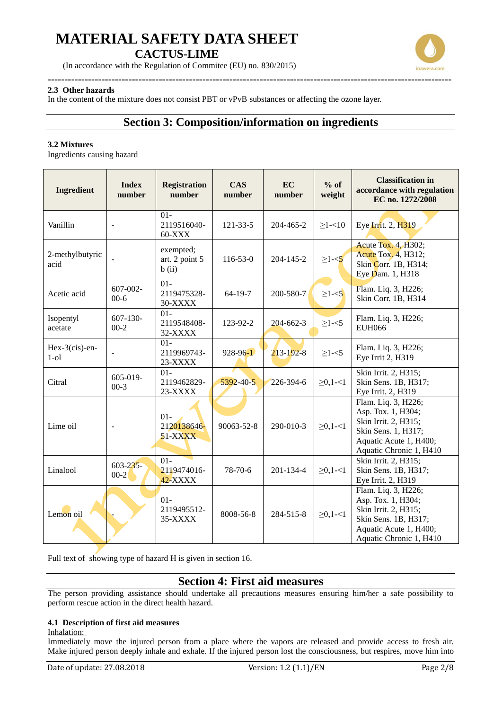

(In accordance with the Regulation of Commitee (EU) no. 830/2015)

#### **------------------------------------------------------------------------------------------------------------------------ 2.3 Other hazards**

In the content of the mixture does not consist PBT or vPvB substances or affecting the ozone layer.

## **Section 3: Composition/information on ingredients**

### **3.2 Mixtures**

Ingredients causing hazard

| <b>Ingredient</b>            | <b>Index</b><br>number    | <b>Registration</b><br>number           | <b>CAS</b><br>number | EC<br>number    | $%$ of<br>weight | <b>Classification in</b><br>accordance with regulation<br>EC no. 1272/2008                                                                     |
|------------------------------|---------------------------|-----------------------------------------|----------------------|-----------------|------------------|------------------------------------------------------------------------------------------------------------------------------------------------|
| Vanillin                     | $\overline{\phantom{a}}$  | $01 -$<br>2119516040-<br>$60-XXX$       | $121 - 33 - 5$       | 204-465-2       | $\geq$ 1-<10     | Eye Irrit. 2, H319                                                                                                                             |
| 2-methylbutyric<br>acid      |                           | exempted;<br>art. 2 point 5<br>b(i)     | $116 - 53 - 0$       | 204-145-2       | $\geq1-5$        | <b>Acute Tox. 4, H302;</b><br>Acute Tox. 4, H312;<br>Skin Corr. 1B, H314;<br>Eye Dam. 1, H318                                                  |
| Acetic acid                  | 607-002-<br>$00 - 6$      | $01 -$<br>2119475328-<br>30-XXXX        | $64-19-7$            | 200-580-7       | $\geq$ 1- $<$ 5  | Flam. Liq. 3, H226;<br>Skin Corr. 1B, H314                                                                                                     |
| Isopentyl<br>acetate         | $607 - 130 -$<br>$00 - 2$ | $01 -$<br>2119548408-<br>32-XXXX        | 123-92-2             | $204 - 662 - 3$ | $\geq$ 1-<5      | Flam. Liq. 3, H226;<br><b>EUH066</b>                                                                                                           |
| $Hex-3(cis)$ -en-<br>$1$ -ol |                           | $01 -$<br>2119969743-<br>23-XXXX        | $928 - 96 - 1$       | $213 - 192 - 8$ | $\geq$ 1-<5      | Flam. Liq. 3, H226;<br>Eye Irrit 2, H319                                                                                                       |
| Citral                       | 605-019-<br>$00-3$        | $01 -$<br>2119462829-<br>23-XXXX        | 5392-40-5            | 226-394-6       | $\geq 0, 1 - 1$  | Skin Irrit. 2, H315;<br>Skin Sens. 1B, H317;<br>Eye Irrit. 2, H319                                                                             |
| Lime oil                     |                           | $01 -$<br>2120138646-<br><b>51-XXXX</b> | 90063-52-8           | 290-010-3       | $\geq 0, 1 - 1$  | Flam. Liq. 3, H226;<br>Asp. Tox. 1, H304;<br>Skin Irrit. 2, H315;<br>Skin Sens. 1, H317;<br>Aquatic Acute 1, H400;<br>Aquatic Chronic 1, H410  |
| Linalool                     | $603 - 235 -$<br>$00-2$   | $01 -$<br>2119474016-<br>42-XXXX        | 78-70-6              | $201 - 134 - 4$ | $\geq 0, 1 - 1$  | Skin Irrit. 2, H315;<br>Skin Sens. 1B, H317;<br>Eye Irrit. 2, H319                                                                             |
| Lemon oil                    |                           | $01 -$<br>2119495512-<br>35-XXXX        | 8008-56-8            | 284-515-8       | $\geq 0, 1 - 1$  | Flam. Liq. 3, H226;<br>Asp. Tox. 1, H304;<br>Skin Irrit. 2, H315;<br>Skin Sens. 1B, H317;<br>Aquatic Acute 1, H400;<br>Aquatic Chronic 1, H410 |

Full text of showing type of hazard H is given in section 16.

### **Section 4: First aid measures**

The person providing assistance should undertake all precautions measures ensuring him/her a safe possibility to perform rescue action in the direct health hazard.

### **4.1 Description of first aid measures**

### Inhalation:

Immediately move the injured person from a place where the vapors are released and provide access to fresh air. Make injured person deeply inhale and exhale. If the injured person lost the consciousness, but respires, move him into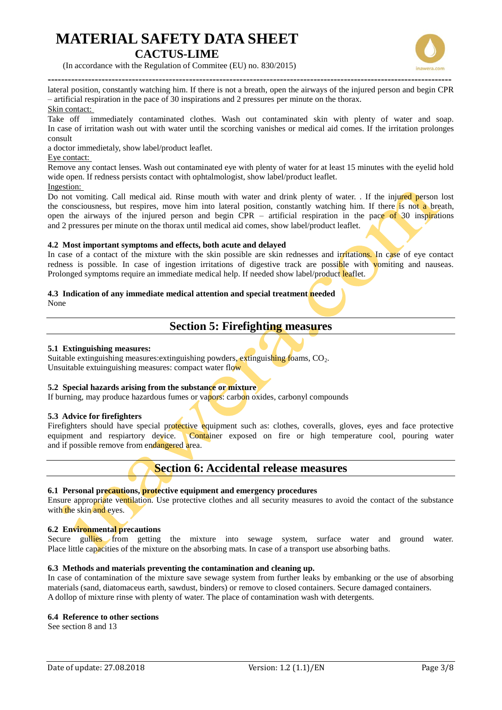

**-----------------------------------------------------------------------------------------------------------------------** lateral position, constantly watching him. If there is not a breath, open the airways of the injured person and begin CPR – artificial respiration in the pace of 30 inspirations and 2 pressures per minute on the thorax. Skin contact:

Take off immediately contaminated clothes. Wash out contaminated skin with plenty of water and soap. In case of irritation wash out with water until the scorching vanishes or medical aid comes. If the irritation prolonges consult

a doctor immedietaly, show label/product leaflet.

### Eye contact:

Remove any contact lenses. Wash out contaminated eye with plenty of water for at least 15 minutes with the eyelid hold wide open. If redness persists contact with ophtalmologist, show label/product leaflet.

Ingestion:

Do not vomiting. Call medical aid. Rinse mouth with water and drink plenty of water. . If the injured person lost the consciousness, but respires, move him into lateral position, constantly watching him. If there is not a breath, open the airways of the injured person and begin  $CPR -$  artificial respiration in the pace of 30 inspirations and 2 pressures per minute on the thorax until medical aid comes, show label/product leaflet.

### **4.2 Most important symptoms and effects, both acute and delayed**

In case of a contact of the mixture with the skin possible are skin rednesses and irritations. In case of eve contact redness is possible. In case of ingestion irritations of digestive track are possible with vomiting and nauseas. Prolonged symptoms require an immediate medical help. If needed show label/product leaflet.

### **4.3 Indication of any immediate medical attention and special treatment needed**

None

## **Section 5: Firefighting measures**

### **5.1 Extinguishing measures:**

Suitable extinguishing measures: extinguishing powders, extinguishing foams,  $CO<sub>2</sub>$ . Unsuitable extuinguishing measures: compact water flow

### **5.2 Special hazards arising from the substance or mixture**

If burning, may produce hazardous fumes or vapors: carbon oxides, carbonyl compounds

### **5.3 Advice for firefighters**

Firefighters should have special protective equipment such as: clothes, coveralls, gloves, eyes and face protective equipment and respiartory device. Container exposed on fire or high temperature cool, pouring water and if possible remove from endangered area.

### **Section 6: Accidental release measures**

### **6.1 Personal precautions, protective equipment and emergency procedures**

Ensure appropriate ventilation. Use protective clothes and all security measures to avoid the contact of the substance with the skin and eyes.

### **6.2 Environmental precautions**

Secure gullies from getting the mixture into sewage system, surface water and ground water. Place little capacities of the mixture on the absorbing mats. In case of a transport use absorbing baths.

### **6.3 Methods and materials preventing the contamination and cleaning up.**

In case of contamination of the mixture save sewage system from further leaks by embanking or the use of absorbing materials (sand, diatomaceus earth, sawdust, binders) or remove to closed containers. Secure damaged containers. A dollop of mixture rinse with plenty of water. The place of contamination wash with detergents.

### **6.4 Reference to other sections**

See section 8 and 13

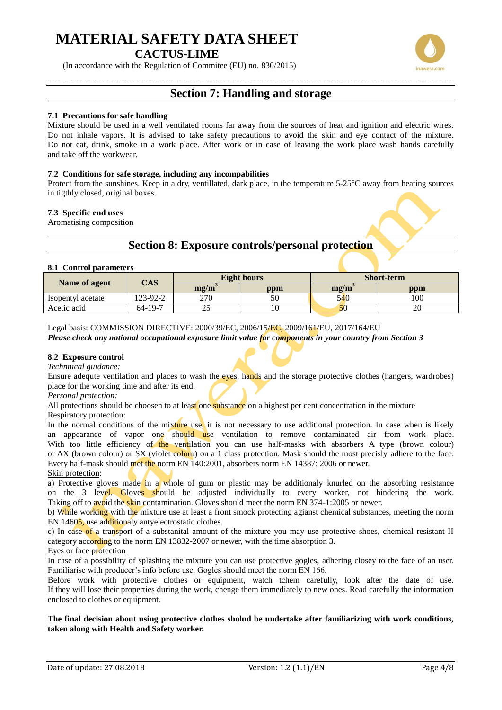(In accordance with the Regulation of Commitee (EU) no. 830/2015)

## **Section 7: Handling and storage**

#### **7.1 Precautions for safe handling**

Mixture should be used in a well ventilated rooms far away from the sources of heat and ignition and electric wires. Do not inhale vapors. It is advised to take safety precautions to avoid the skin and eye contact of the mixture. Do not eat, drink, smoke in a work place. After work or in case of leaving the work place wash hands carefully and take off the workwear.

#### **7.2 Conditions for safe storage, including any incompabilities**

Protect from the sunshines. Keep in a dry, ventillated, dark place, in the temperature 5-25°C away from heating sources in tigthly closed, original boxes.

#### **7.3 Specific end uses**

Aromatising composition

### **Section 8: Exposure controls/personal protection**

#### **8.1 Control parameters**

|                   | $\mathbf{CAS}$ |                                    | <b>Eight hours</b> | <b>Short-term</b>    |     |
|-------------------|----------------|------------------------------------|--------------------|----------------------|-----|
| Name of agent     |                | $\mathbf{m} \mathbf{g}/\mathbf{m}$ | ppm                | $\text{mg}/\text{m}$ | ppm |
| Isopentyl acetate | 123-92-2       | 270                                | 50                 | 540                  | 100 |
| Acetic acid       | 64-19-7        | $\overline{\phantom{a}}$           |                    |                      | ZU  |

Legal basis: COMMISSION DIRECTIVE: 2000/39/EC, 2006/15/EC, 2009/161/EU, 2017/164/EU *Please check any national occupational exposure limit value for components in your country from Section 3*

### **8.2 Exposure control**

*Technnical guidance:*

Ensure adequte ventilation and places to wash the eyes, hands and the storage protective clothes (hangers, wardrobes) place for the working time and after its end.

*Personal protection:*

All protections should be choosen to at least one substance on a highest per cent concentration in the mixture Respiratory protection:

In the normal conditions of the mixture use, it is not necessary to use additional protection. In case when is likely an appearance of vapor one should use ventilation to remove contaminated air from work place. With too little efficiency of the ventilation you can use half-masks with absorbers A type (brown colour) or AX (brown colour) or SX (violet colour) on a 1 class protection. Mask should the most precisly adhere to the face. Every half-mask should met the norm EN 140:2001, absorbers norm EN 14387: 2006 or newer. Skin protection:

a) Protective gloves made in a whole of gum or plastic may be additionaly knurled on the absorbing resistance on the 3 level. Gloves should be adjusted individually to every worker, not hindering the work. Taking off to avoid the skin contamination. Gloves should meet the norm EN 374-1:2005 or newer.

b) While working with the mixture use at least a front smock protecting agianst chemical substances, meeting the norm EN 14605, use additionaly antyelectrostatic clothes.

c) In case of a transport of a substanital amount of the mixture you may use protective shoes, chemical resistant II category according to the norm EN 13832-2007 or newer, with the time absorption 3.

#### Eyes or face protection

In case of a possibility of splashing the mixture you can use protective gogles, adhering closey to the face of an user. Familiarise with producer's info before use. Gogles should meet the norm EN 166.

Before work with protective clothes or equipment, watch tchem carefully, look after the date of use. If they will lose their properties during the work, chenge them immediately to new ones. Read carefully the information enclosed to clothes or equipment.

**The final decision about using protective clothes sholud be undertake after familiarizing with work conditions, taken along with Health and Safety worker.**

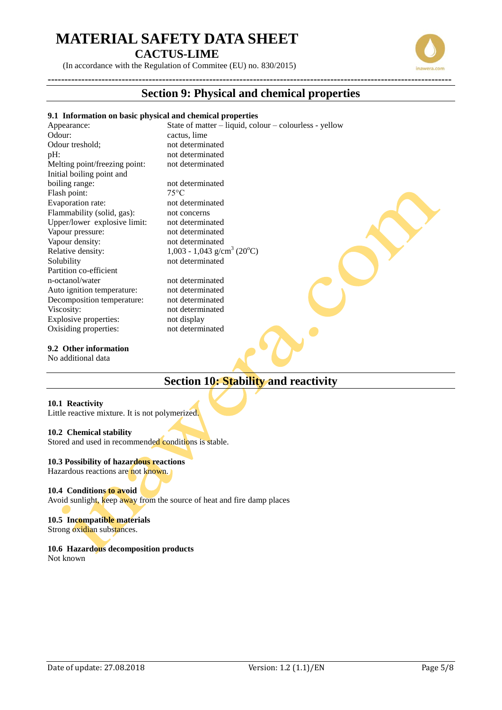(In accordance with the Regulation of Commitee (EU) no. 830/2015)

### **Section 9: Physical and chemical properties**

### **9.1 Information on basic physical and chemical properties**

**------------------------------------------------------------------------------------------------------------------------**

Appearance: State of matter – liquid, colour – colourless - yellow Odour: cactus, lime Odour treshold: not determinated pH: not determinated Melting point/freezing point: not determinated Initial boiling point and boiling range:<br>
Flash point:<br>  $75^{\circ}$ C Flash point: Evaporation rate: not determinated Flammability (solid, gas): not concerns Upper/lower explosive limit: not determinated Vapour pressure: not determinated Vapour density: not determinated<br>Relative density: 1,003 - 1,043 g/c Relative density:  $1,003 - 1,043$  g/cm<sup>3</sup> (20<sup>o</sup>C) Solubility not determinated Partition co-efficient n-octanol/water not determinated Auto ignition temperature: not determinated Decomposition temperature: not determinated Viscosity: not determinated Explosive properties: not display

### **9.2 Other information**

No additional data

## **Section 10: Stability and reactivity**

### **10.1 Reactivity**

Little reactive mixture. It is not polymerized.

### **10.2 Chemical stability**

Stored and used in recommended conditions is stable.

Oxisiding properties: not determinated

### **10.3 Possibility of hazardous reactions**

Hazardous reactions are not known.

### **10.4 Conditions to avoid**

Avoid sunlight, keep away from the source of heat and fire damp places

### **10.5 Incompatible materials** Strong oxidian substances.

**10.6 Hazardous decomposition products** Not known



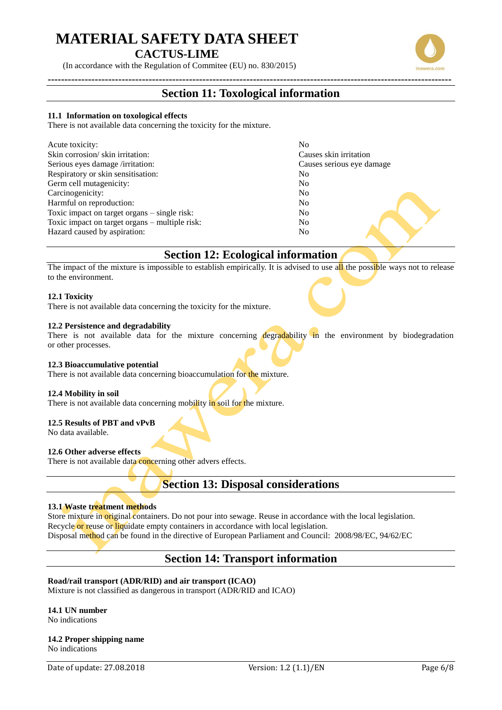(In accordance with the Regulation of Commitee (EU) no. 830/2015)

### **------------------------------------------------------------------------------------------------------------------------ Section 11: Toxological information**

#### **11.1 Information on toxological effects**

There is not available data concerning the toxicity for the mixture.

| Acute toxicity:                                | No                        |
|------------------------------------------------|---------------------------|
| Skin corrosion/skin irritation:                | Causes skin irritation    |
| Serious eyes damage /irritation:               | Causes serious eye damage |
| Respiratory or skin sensitisation:             | No                        |
| Germ cell mutagenicity:                        | No                        |
| Carcinogenicity:                               | No                        |
| Harmful on reproduction:                       | No                        |
| Toxic impact on target organs – single risk:   | No                        |
| Toxic impact on target organs – multiple risk: | No                        |
| Hazard caused by aspiration:                   | No                        |

## **Section 12: Ecological information**

The impact of the mixture is impossible to establish empirically. It is advised to use all the possible ways not to release to the environment.

### **12.1 Toxicity**

There is not available data concerning the toxicity for the mixture.

### **12.2 Persistence and degradability**

There is not available data for the mixture concerning degradability in the environment by biodegradation or other processes.

### **12.3 Bioaccumulative potential**

There is not available data concerning bioaccumulation for the mixture.

### **12.4 Mobility in soil**

There is not available data concerning mobility in soil for the mixture.

### **12.5 Results of PBT and vPvB**

No data available.

### **12.6 Other adverse effects**

There is not available data concerning other advers effects.

### **Section 13: Disposal considerations**

### **13.1 Waste treatment methods**

Store mixture in original containers. Do not pour into sewage. Reuse in accordance with the local legislation. Recycle or reuse or liquidate empty containers in accordance with local legislation. Disposal method can be found in the directive of European Parliament and Council: 2008/98/EC, 94/62/EC

### **Section 14: Transport information**

### **Road/rail transport (ADR/RID) and air transport (ICAO)**

Mixture is not classified as dangerous in transport (ADR/RID and ICAO)

## **14.1 UN number**

No indications

#### **14.2 Proper shipping name** No indications



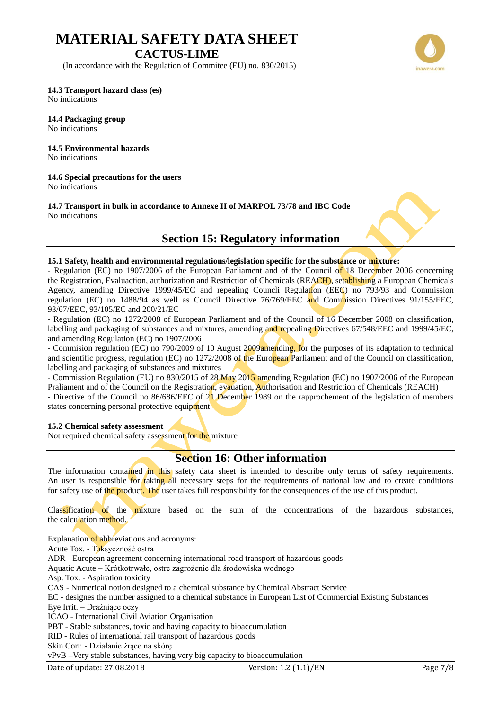(In accordance with the Regulation of Commitee (EU) no. 830/2015)



**------------------------------------------------------------------------------------------------------------------------ 14.3 Transport hazard class (es)** No indications

**14.4 Packaging group** No indications

**14.5 Environmental hazards** No indications

**14.6 Special precautions for the users** No indications

**14.7 Transport in bulk in accordance to Annexe II of MARPOL 73/78 and IBC Code** No indications



### **Section 15: Regulatory information**

#### **15.1 Safety, health and environmental regulations/legislation specific for the substance or mixture:**

- Regulation (EC) no 1907/2006 of the European Parliament and of the Council of 18 December 2006 concerning the Registration, Evaluaction, authorization and Restriction of Chemicals (REACH), setablishing a European Chemicals Agency, amending Directive 1999/45/EC and repealing Councli Regulation (EEC) no 793/93 and Commission regulation (EC) no 1488/94 as well as Council Directive 76/769/EEC and Commission Directives 91/155/EEC, 93/67/EEC, 93/105/EC and 200/21/EC

- Regulation (EC) no 1272/2008 of European Parliament and of the Council of 16 December 2008 on classification, labelling and packaging of substances and mixtures, amending and repealing Directives 67/548/EEC and 1999/45/EC, and amending Regulation (EC) no 1907/2006

- Commision regulation (EC) no 790/2009 of 10 August 2009amending, for the purposes of its adaptation to technical and scientific progress, regulation (EC) no 1272/2008 of the European Parliament and of the Council on classification, labelling and packaging of substances and mixtures

- Commission Regulation (EU) no 830/2015 of 28 May 2015 amending Regulation (EC) no 1907/2006 of the European Praliament and of the Council on the Registration, evauation, Authorisation and Restriction of Chemicals (REACH)

- Directive of the Council no 86/686/EEC of 21 December 1989 on the rapprochement of the legislation of members states concerning personal protective equipment

### **15.2 Chemical safety assessment**

Not required chemical safety assessment for the mixture

### **Section 16: Other information**

The information contained in this safety data sheet is intended to describe only terms of safety requirements. An user is responsible for taking all necessary steps for the requirements of national law and to create conditions for safety use of the product. The user takes full responsibility for the consequences of the use of this product.

Classification of the mixture based on the sum of the concentrations of the hazardous substances, the calculation method.

Explanation of abbreviations and acronyms:

Acute Tox. - Toksyczność ostra

ADR - European agreement concerning international road transport of hazardous goods

Aquatic Acute – Krótkotrwałe, ostre zagrożenie dla środowiska wodnego

Asp. Tox. - Aspiration toxicity

CAS - Numerical notion designed to a chemical substance by Chemical Abstract Service

EC - designes the number assigned to a chemical substance in European List of Commercial Existing Substances

Eye Irrit. – Drażniące oczy

ICAO - International Civil Aviation Organisation

PBT - Stable substances, toxic and having capacity to bioaccumulation

RID - Rules of international rail transport of hazardous goods

Skin Corr. - Działanie żrące na skórę

vPvB –Very stable substances, having very big capacity to bioaccumulation

Date of update: 27.08.2018 Version: 1.2 (1.1)/EN Page 7/8